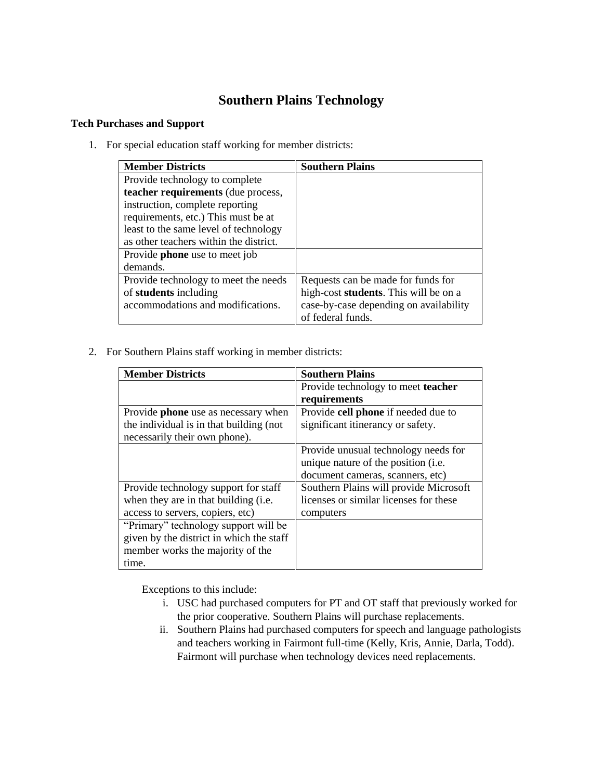## **Southern Plains Technology**

## **Tech Purchases and Support**

1. For special education staff working for member districts:

| <b>Member Districts</b>                | <b>Southern Plains</b>                        |
|----------------------------------------|-----------------------------------------------|
| Provide technology to complete         |                                               |
| teacher requirements (due process,     |                                               |
| instruction, complete reporting        |                                               |
| requirements, etc.) This must be at    |                                               |
| least to the same level of technology  |                                               |
| as other teachers within the district. |                                               |
| Provide <b>phone</b> use to meet job   |                                               |
| demands.                               |                                               |
| Provide technology to meet the needs   | Requests can be made for funds for            |
| of students including                  | high-cost <b>students</b> . This will be on a |
| accommodations and modifications.      | case-by-case depending on availability        |
|                                        | of federal funds.                             |

2. For Southern Plains staff working in member districts:

| <b>Member Districts</b>                    | <b>Southern Plains</b>                 |
|--------------------------------------------|----------------------------------------|
|                                            | Provide technology to meet teacher     |
|                                            | requirements                           |
| Provide <b>phone</b> use as necessary when | Provide cell phone if needed due to    |
| the individual is in that building (not    | significant itinerancy or safety.      |
| necessarily their own phone).              |                                        |
|                                            | Provide unusual technology needs for   |
|                                            | unique nature of the position (i.e.    |
|                                            | document cameras, scanners, etc)       |
| Provide technology support for staff       | Southern Plains will provide Microsoft |
| when they are in that building (i.e.       | licenses or similar licenses for these |
| access to servers, copiers, etc)           | computers                              |
| "Primary" technology support will be       |                                        |
| given by the district in which the staff   |                                        |
| member works the majority of the           |                                        |
| time.                                      |                                        |

Exceptions to this include:

- i. USC had purchased computers for PT and OT staff that previously worked for the prior cooperative. Southern Plains will purchase replacements.
- ii. Southern Plains had purchased computers for speech and language pathologists and teachers working in Fairmont full-time (Kelly, Kris, Annie, Darla, Todd). Fairmont will purchase when technology devices need replacements.